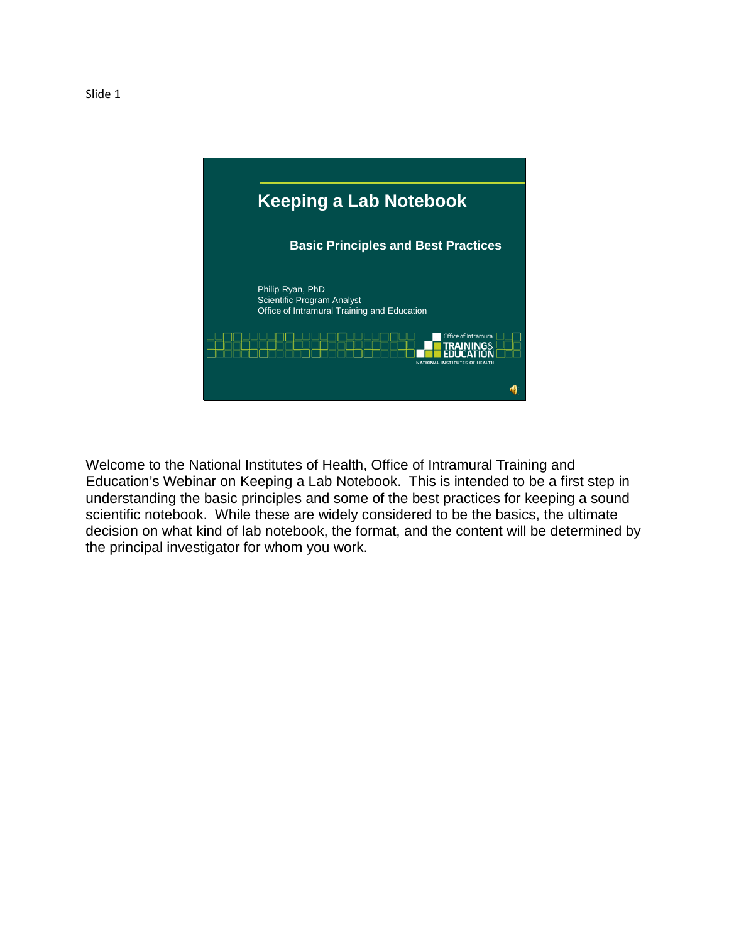

Welcome to the National Institutes of Health, Office of Intramural Training and Education's Webinar on Keeping a Lab Notebook. This is intended to be a first step in understanding the basic principles and some of the best practices for keeping a sound scientific notebook. While these are widely considered to be the basics, the ultimate decision on what kind of lab notebook, the format, and the content will be determined by the principal investigator for whom you work.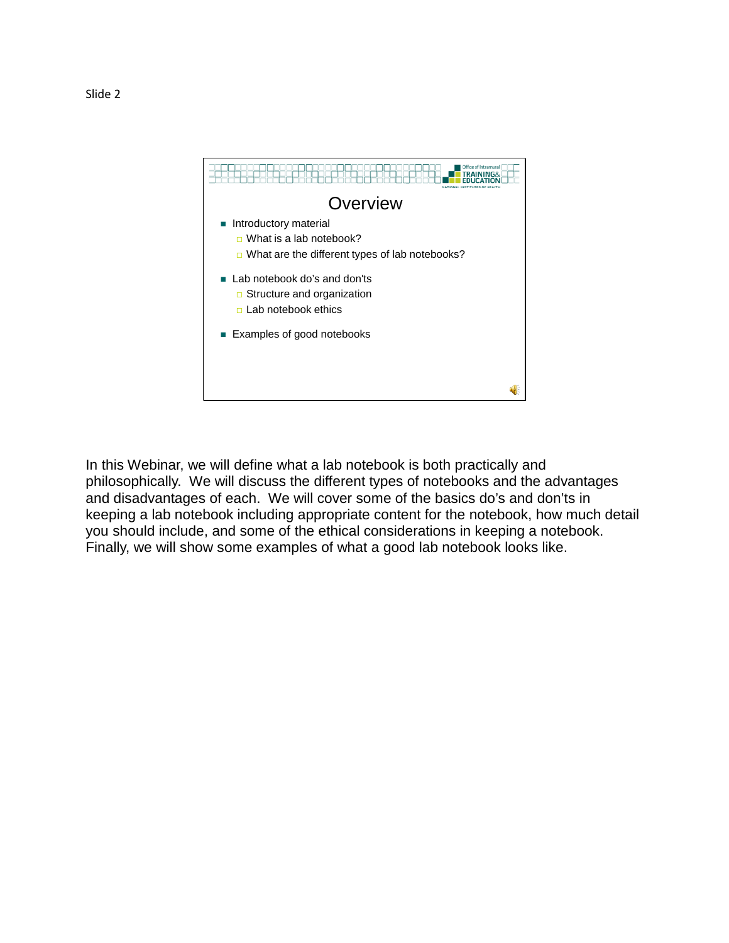

In this Webinar, we will define what a lab notebook is both practically and philosophically. We will discuss the different types of notebooks and the advantages and disadvantages of each. We will cover some of the basics do's and don'ts in keeping a lab notebook including appropriate content for the notebook, how much detail you should include, and some of the ethical considerations in keeping a notebook. Finally, we will show some examples of what a good lab notebook looks like.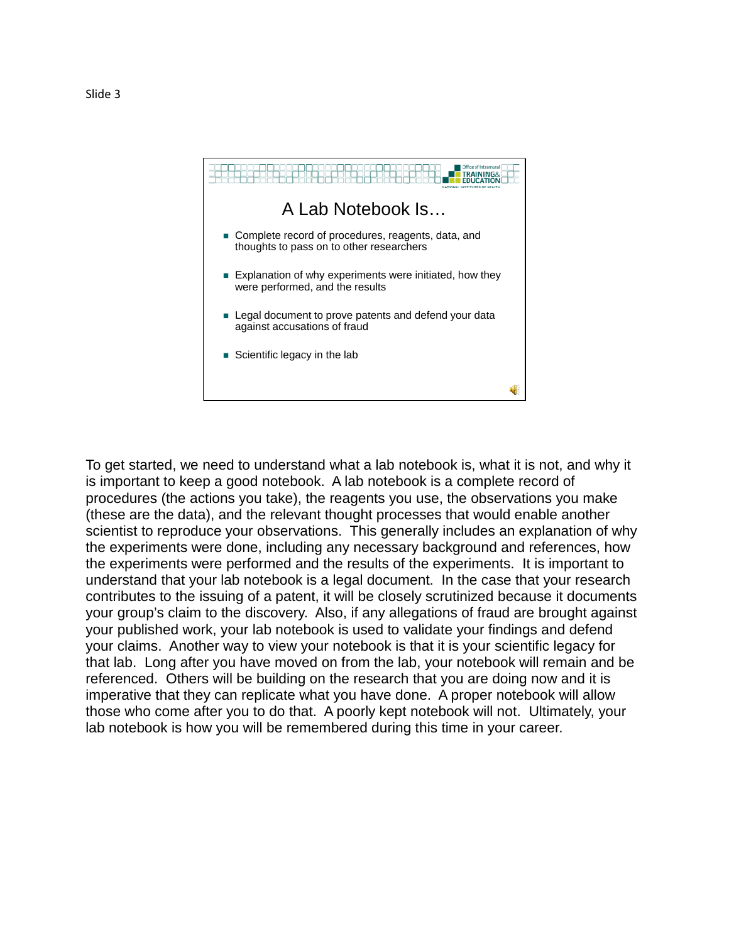

To get started, we need to understand what a lab notebook is, what it is not, and why it is important to keep a good notebook. A lab notebook is a complete record of procedures (the actions you take), the reagents you use, the observations you make (these are the data), and the relevant thought processes that would enable another scientist to reproduce your observations. This generally includes an explanation of why the experiments were done, including any necessary background and references, how the experiments were performed and the results of the experiments. It is important to understand that your lab notebook is a legal document. In the case that your research contributes to the issuing of a patent, it will be closely scrutinized because it documents your group's claim to the discovery. Also, if any allegations of fraud are brought against your published work, your lab notebook is used to validate your findings and defend your claims. Another way to view your notebook is that it is your scientific legacy for that lab. Long after you have moved on from the lab, your notebook will remain and be referenced. Others will be building on the research that you are doing now and it is imperative that they can replicate what you have done. A proper notebook will allow those who come after you to do that. A poorly kept notebook will not. Ultimately, your lab notebook is how you will be remembered during this time in your career.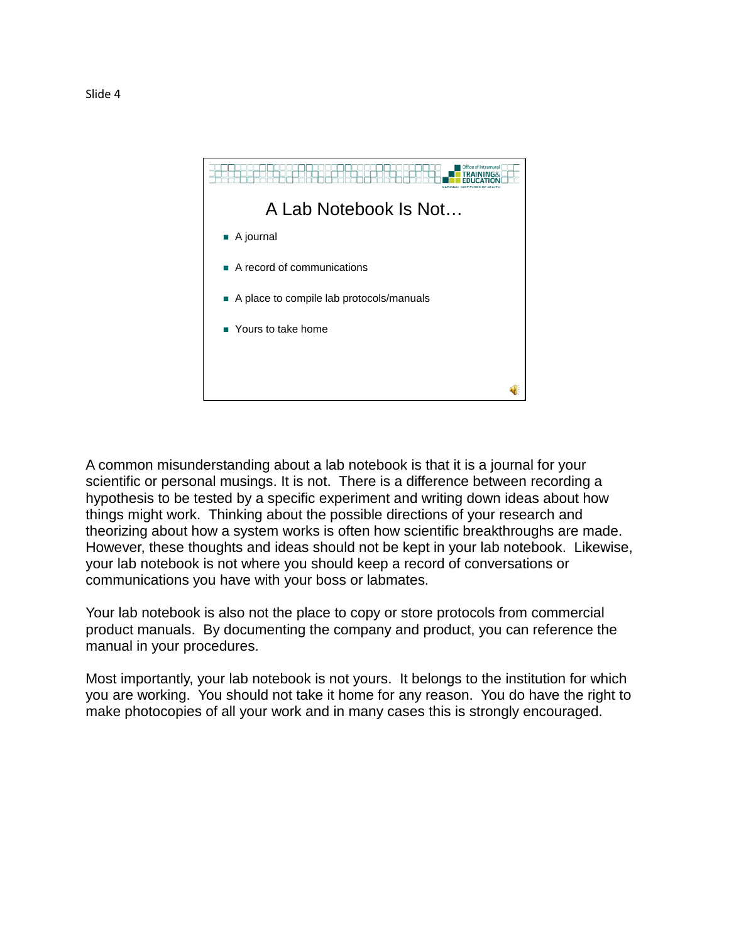

A common misunderstanding about a lab notebook is that it is a journal for your scientific or personal musings. It is not. There is a difference between recording a hypothesis to be tested by a specific experiment and writing down ideas about how things might work. Thinking about the possible directions of your research and theorizing about how a system works is often how scientific breakthroughs are made. However, these thoughts and ideas should not be kept in your lab notebook. Likewise, your lab notebook is not where you should keep a record of conversations or communications you have with your boss or labmates.

Your lab notebook is also not the place to copy or store protocols from commercial product manuals. By documenting the company and product, you can reference the manual in your procedures.

Most importantly, your lab notebook is not yours. It belongs to the institution for which you are working. You should not take it home for any reason. You do have the right to make photocopies of all your work and in many cases this is strongly encouraged.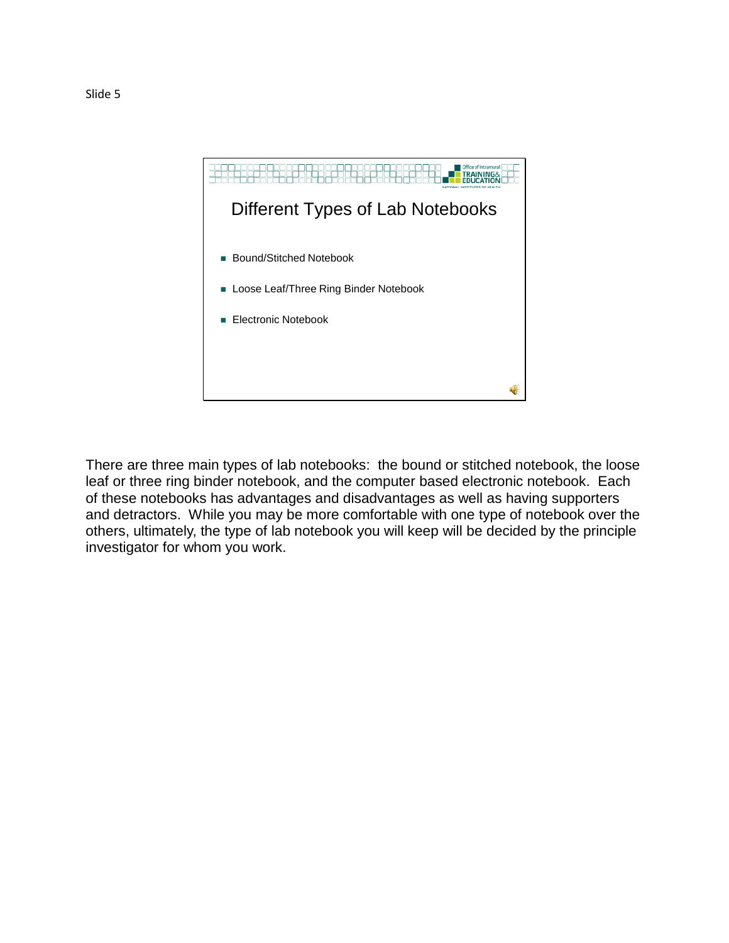

There are three main types of lab notebooks: the bound or stitched notebook, the loose leaf or three ring binder notebook, and the computer based electronic notebook. Each of these notebooks has advantages and disadvantages as well as having supporters and detractors. While you may be more comfortable with one type of notebook over the others, ultimately, the type of lab notebook you will keep will be decided by the principle investigator for whom you work.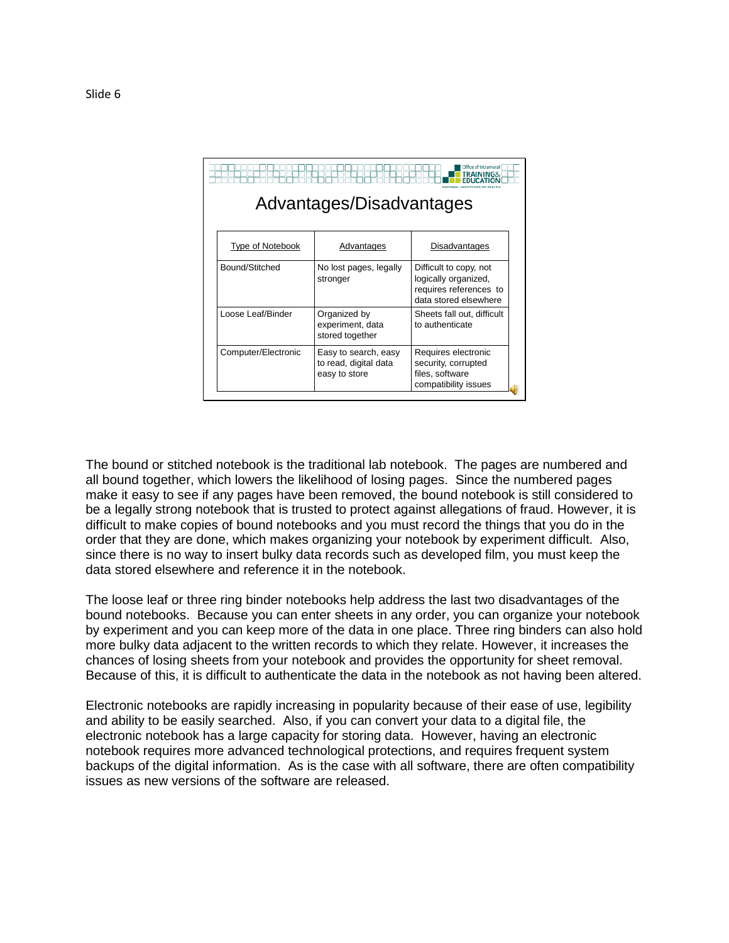| ce of Intramural<br>INING&<br>Advantages/Disadvantages |                                                                |                                                                                                   |
|--------------------------------------------------------|----------------------------------------------------------------|---------------------------------------------------------------------------------------------------|
| Type of Notebook                                       | Advantages                                                     | Disadvantages                                                                                     |
| Bound/Stitched                                         | No lost pages, legally<br>stronger                             | Difficult to copy, not<br>logically organized,<br>requires references to<br>data stored elsewhere |
| Loose Leaf/Binder                                      | Organized by<br>experiment, data<br>stored together            | Sheets fall out, difficult<br>to authenticate                                                     |
| Computer/Electronic                                    | Easy to search, easy<br>to read, digital data<br>easy to store | Requires electronic<br>security, corrupted<br>files, software<br>compatibility issues             |

The bound or stitched notebook is the traditional lab notebook. The pages are numbered and all bound together, which lowers the likelihood of losing pages. Since the numbered pages make it easy to see if any pages have been removed, the bound notebook is still considered to be a legally strong notebook that is trusted to protect against allegations of fraud. However, it is difficult to make copies of bound notebooks and you must record the things that you do in the order that they are done, which makes organizing your notebook by experiment difficult. Also, since there is no way to insert bulky data records such as developed film, you must keep the data stored elsewhere and reference it in the notebook.

The loose leaf or three ring binder notebooks help address the last two disadvantages of the bound notebooks. Because you can enter sheets in any order, you can organize your notebook by experiment and you can keep more of the data in one place. Three ring binders can also hold more bulky data adjacent to the written records to which they relate. However, it increases the chances of losing sheets from your notebook and provides the opportunity for sheet removal. Because of this, it is difficult to authenticate the data in the notebook as not having been altered.

Electronic notebooks are rapidly increasing in popularity because of their ease of use, legibility and ability to be easily searched. Also, if you can convert your data to a digital file, the electronic notebook has a large capacity for storing data. However, having an electronic notebook requires more advanced technological protections, and requires frequent system backups of the digital information. As is the case with all software, there are often compatibility issues as new versions of the software are released.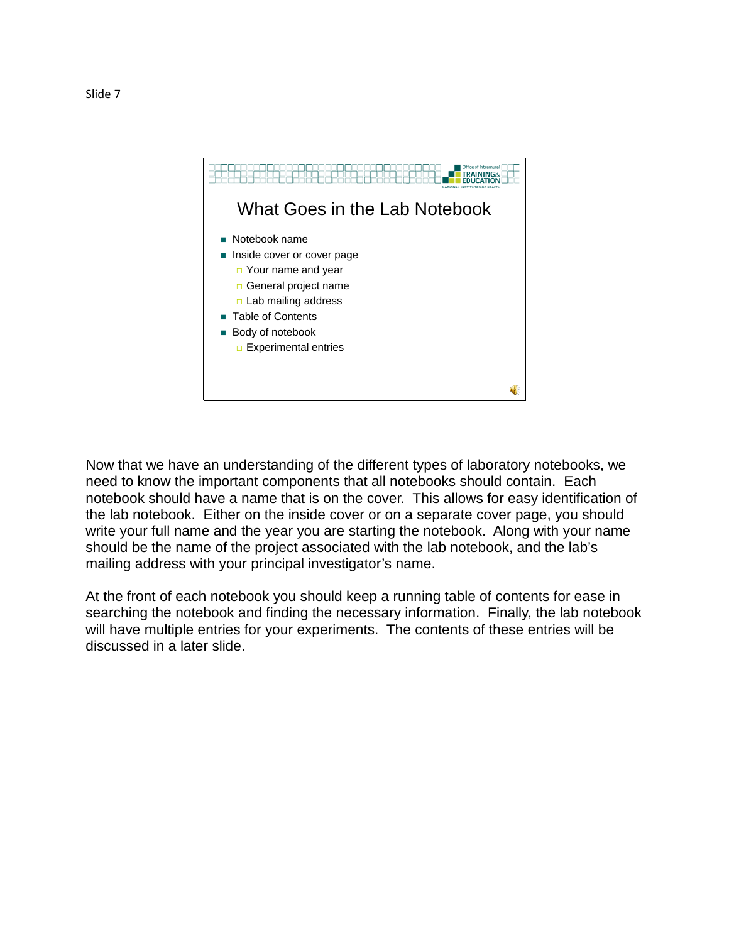

Now that we have an understanding of the different types of laboratory notebooks, we need to know the important components that all notebooks should contain. Each notebook should have a name that is on the cover. This allows for easy identification of the lab notebook. Either on the inside cover or on a separate cover page, you should write your full name and the year you are starting the notebook. Along with your name should be the name of the project associated with the lab notebook, and the lab's mailing address with your principal investigator's name.

At the front of each notebook you should keep a running table of contents for ease in searching the notebook and finding the necessary information. Finally, the lab notebook will have multiple entries for your experiments. The contents of these entries will be discussed in a later slide.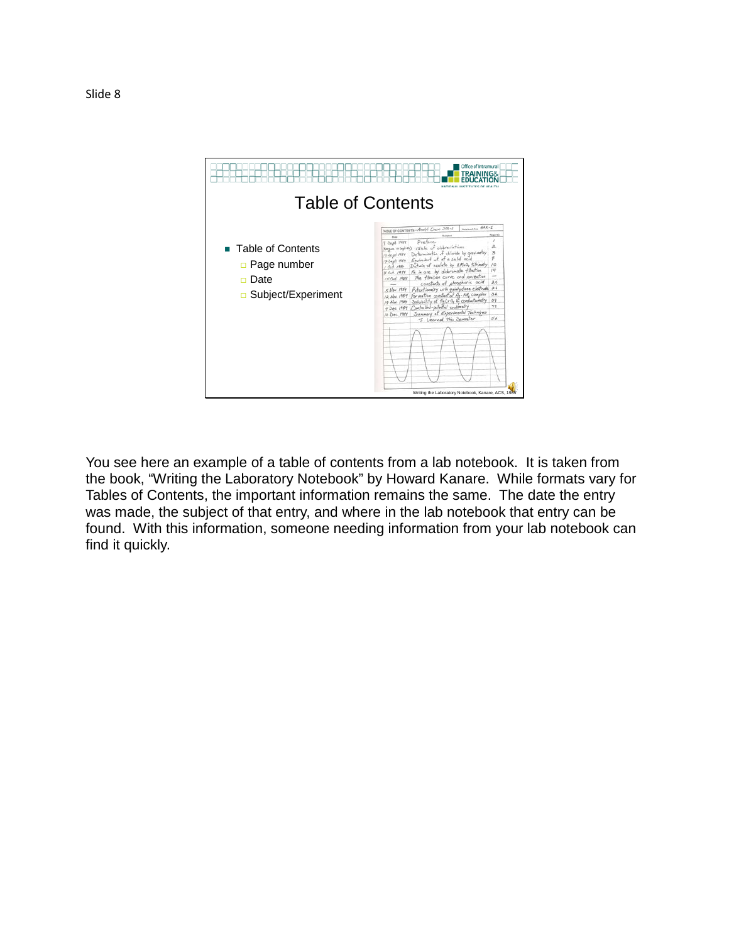

You see here an example of a table of contents from a lab notebook. It is taken from the book, "Writing the Laboratory Notebook" by Howard Kanare. While formats vary for Tables of Contents, the important information remains the same. The date the entry was made, the subject of that entry, and where in the lab notebook that entry can be found. With this information, someone needing information from your lab notebook can find it quickly.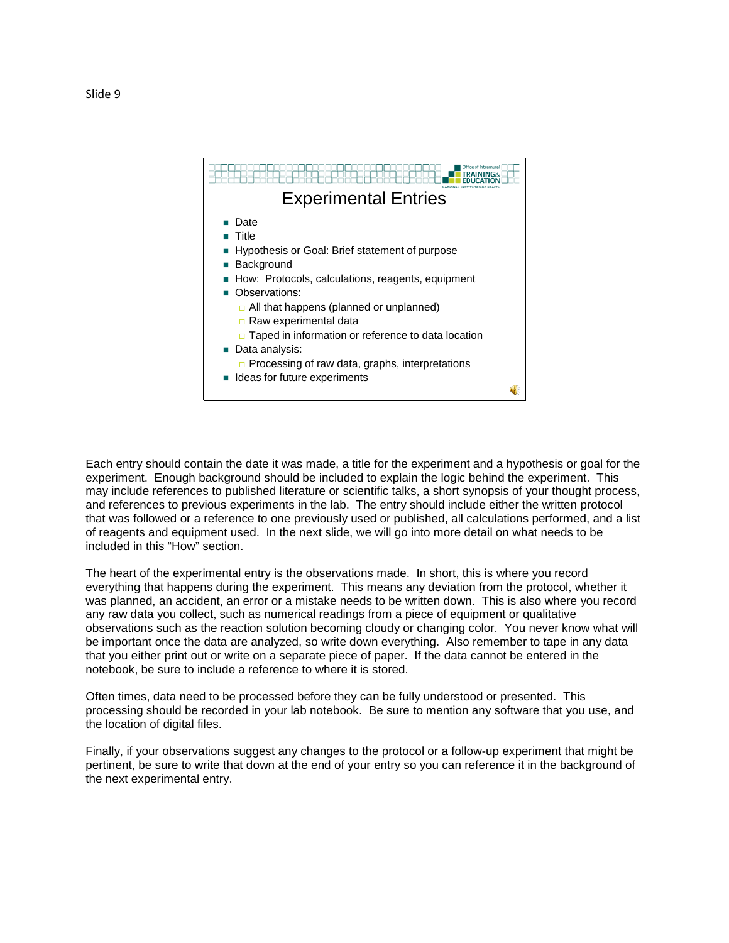

Each entry should contain the date it was made, a title for the experiment and a hypothesis or goal for the experiment. Enough background should be included to explain the logic behind the experiment. This may include references to published literature or scientific talks, a short synopsis of your thought process, and references to previous experiments in the lab. The entry should include either the written protocol that was followed or a reference to one previously used or published, all calculations performed, and a list of reagents and equipment used. In the next slide, we will go into more detail on what needs to be included in this "How" section.

The heart of the experimental entry is the observations made. In short, this is where you record everything that happens during the experiment. This means any deviation from the protocol, whether it was planned, an accident, an error or a mistake needs to be written down. This is also where you record any raw data you collect, such as numerical readings from a piece of equipment or qualitative observations such as the reaction solution becoming cloudy or changing color. You never know what will be important once the data are analyzed, so write down everything. Also remember to tape in any data that you either print out or write on a separate piece of paper. If the data cannot be entered in the notebook, be sure to include a reference to where it is stored.

Often times, data need to be processed before they can be fully understood or presented. This processing should be recorded in your lab notebook. Be sure to mention any software that you use, and the location of digital files.

Finally, if your observations suggest any changes to the protocol or a follow-up experiment that might be pertinent, be sure to write that down at the end of your entry so you can reference it in the background of the next experimental entry.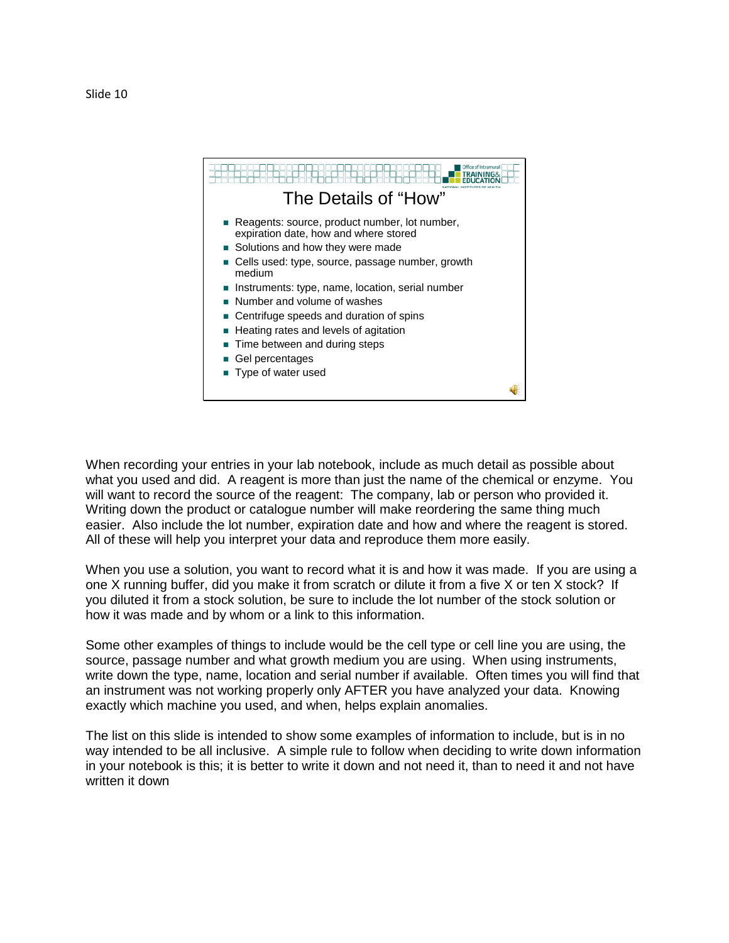

When recording your entries in your lab notebook, include as much detail as possible about what you used and did. A reagent is more than just the name of the chemical or enzyme. You will want to record the source of the reagent: The company, lab or person who provided it. Writing down the product or catalogue number will make reordering the same thing much easier. Also include the lot number, expiration date and how and where the reagent is stored. All of these will help you interpret your data and reproduce them more easily.

When you use a solution, you want to record what it is and how it was made. If you are using a one X running buffer, did you make it from scratch or dilute it from a five X or ten X stock? If you diluted it from a stock solution, be sure to include the lot number of the stock solution or how it was made and by whom or a link to this information.

Some other examples of things to include would be the cell type or cell line you are using, the source, passage number and what growth medium you are using. When using instruments, write down the type, name, location and serial number if available. Often times you will find that an instrument was not working properly only AFTER you have analyzed your data. Knowing exactly which machine you used, and when, helps explain anomalies.

The list on this slide is intended to show some examples of information to include, but is in no way intended to be all inclusive. A simple rule to follow when deciding to write down information in your notebook is this; it is better to write it down and not need it, than to need it and not have written it down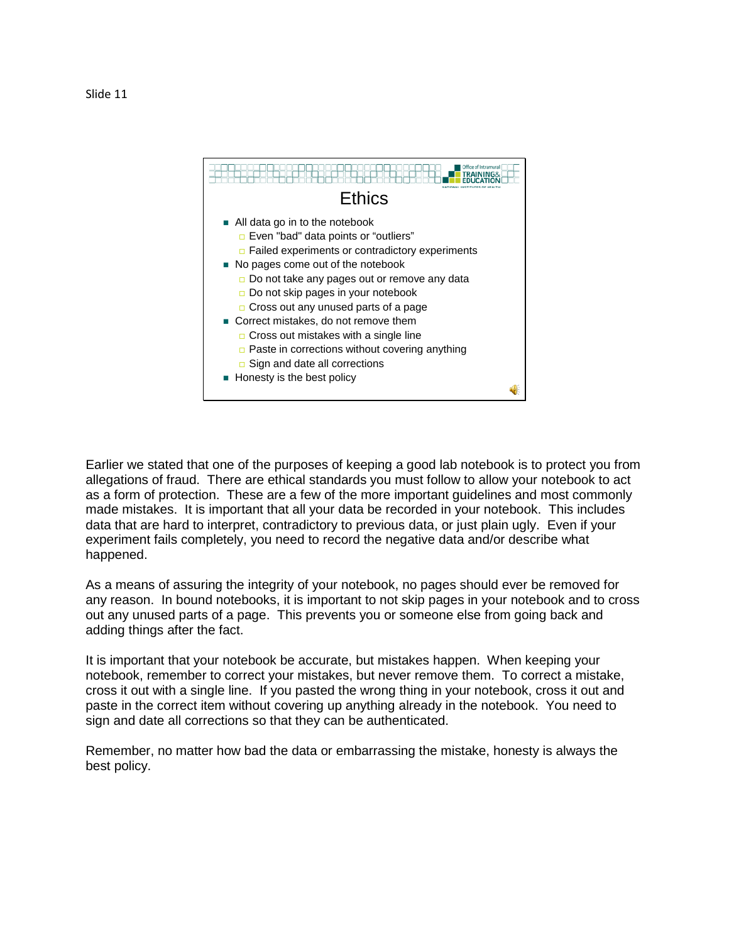

Earlier we stated that one of the purposes of keeping a good lab notebook is to protect you from allegations of fraud. There are ethical standards you must follow to allow your notebook to act as a form of protection. These are a few of the more important guidelines and most commonly made mistakes. It is important that all your data be recorded in your notebook. This includes data that are hard to interpret, contradictory to previous data, or just plain ugly. Even if your experiment fails completely, you need to record the negative data and/or describe what happened.

As a means of assuring the integrity of your notebook, no pages should ever be removed for any reason. In bound notebooks, it is important to not skip pages in your notebook and to cross out any unused parts of a page. This prevents you or someone else from going back and adding things after the fact.

It is important that your notebook be accurate, but mistakes happen. When keeping your notebook, remember to correct your mistakes, but never remove them. To correct a mistake, cross it out with a single line. If you pasted the wrong thing in your notebook, cross it out and paste in the correct item without covering up anything already in the notebook. You need to sign and date all corrections so that they can be authenticated.

Remember, no matter how bad the data or embarrassing the mistake, honesty is always the best policy.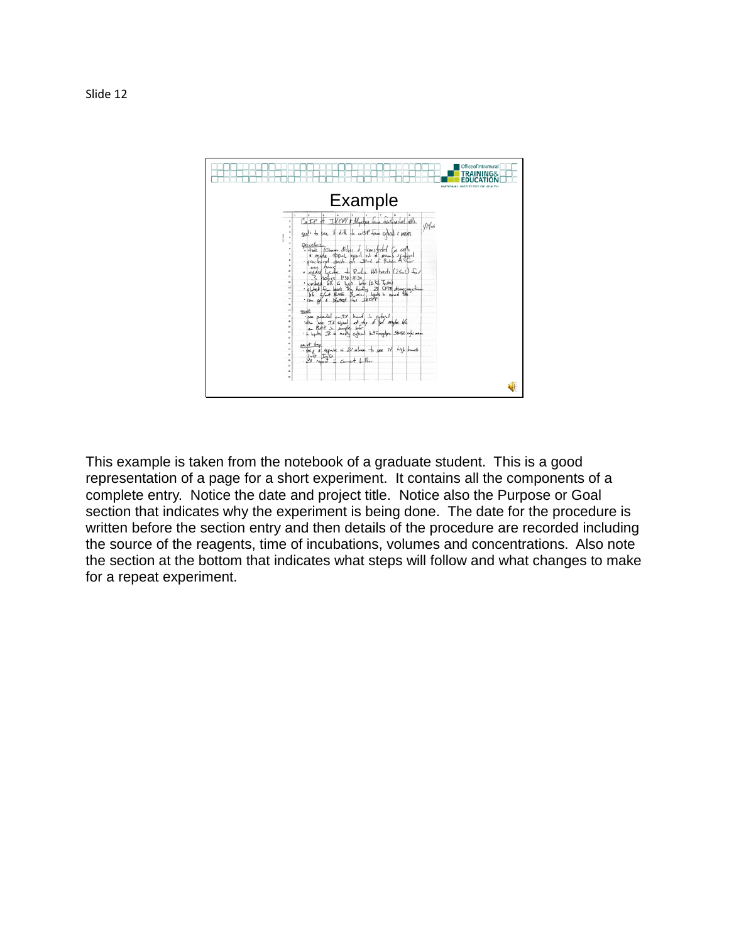

This example is taken from the notebook of a graduate student. This is a good representation of a page for a short experiment. It contains all the components of a complete entry. Notice the date and project title. Notice also the Purpose or Goal section that indicates why the experiment is being done. The date for the procedure is written before the section entry and then details of the procedure are recorded including the source of the reagents, time of incubations, volumes and concentrations. Also note the section at the bottom that indicates what steps will follow and what changes to make for a repeat experiment.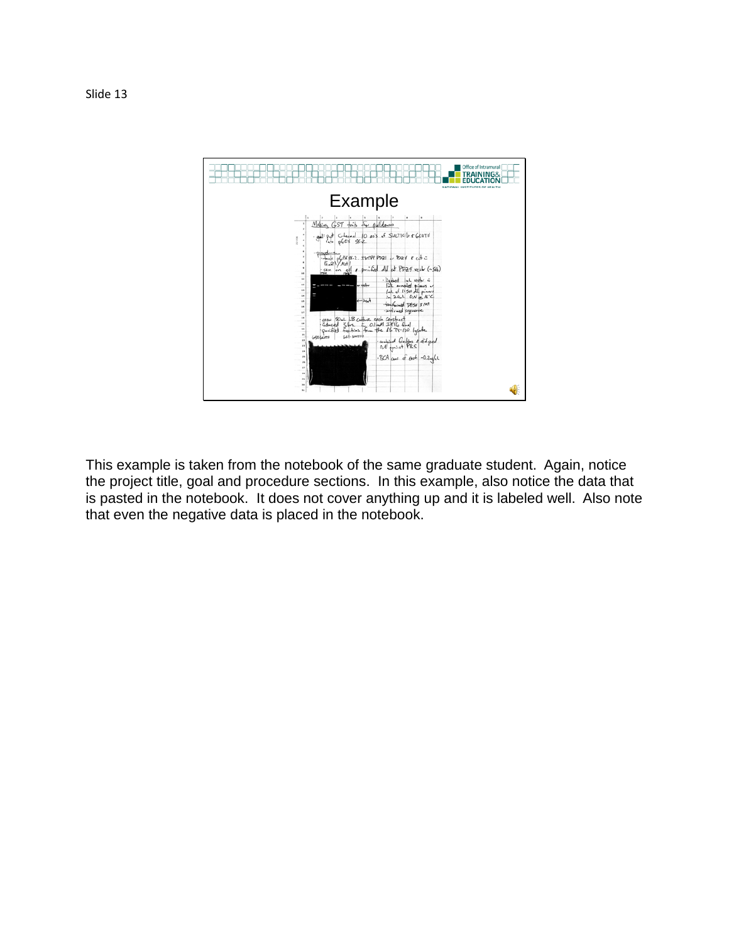

This example is taken from the notebook of the same graduate student. Again, notice the project title, goal and procedure sections. In this example, also notice the data that is pasted in the notebook. It does not cover anything up and it is labeled well. Also note that even the negative data is placed in the notebook.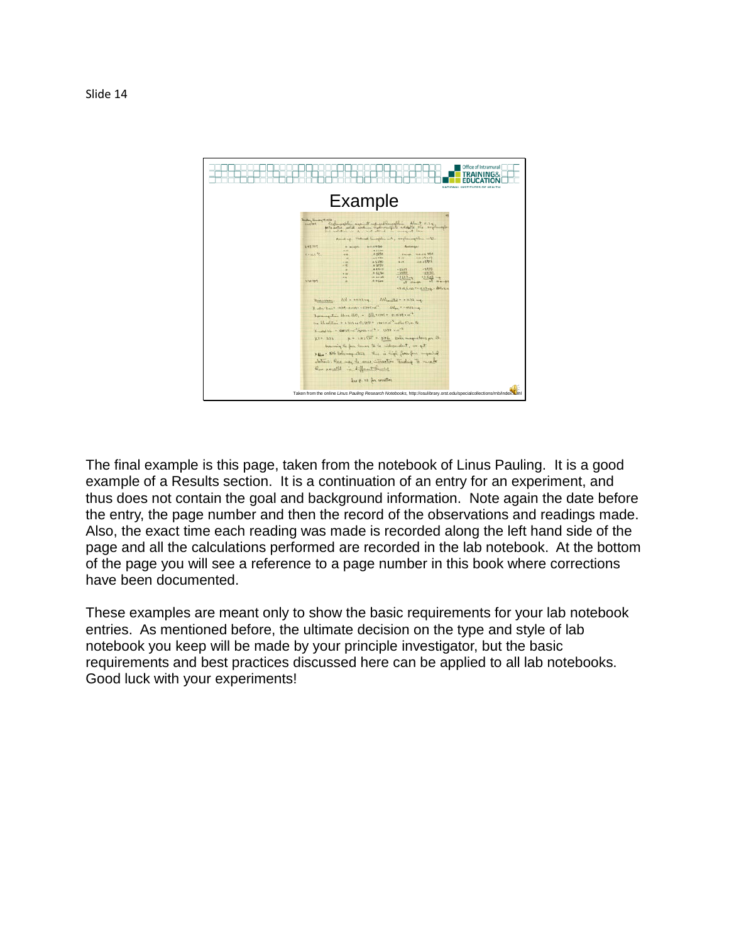

The final example is this page, taken from the notebook of Linus Pauling. It is a good example of a Results section. It is a continuation of an entry for an experiment, and thus does not contain the goal and background information. Note again the date before the entry, the page number and then the record of the observations and readings made. Also, the exact time each reading was made is recorded along the left hand side of the page and all the calculations performed are recorded in the lab notebook. At the bottom of the page you will see a reference to a page number in this book where corrections have been documented.

These examples are meant only to show the basic requirements for your lab notebook entries. As mentioned before, the ultimate decision on the type and style of lab notebook you keep will be made by your principle investigator, but the basic requirements and best practices discussed here can be applied to all lab notebooks. Good luck with your experiments!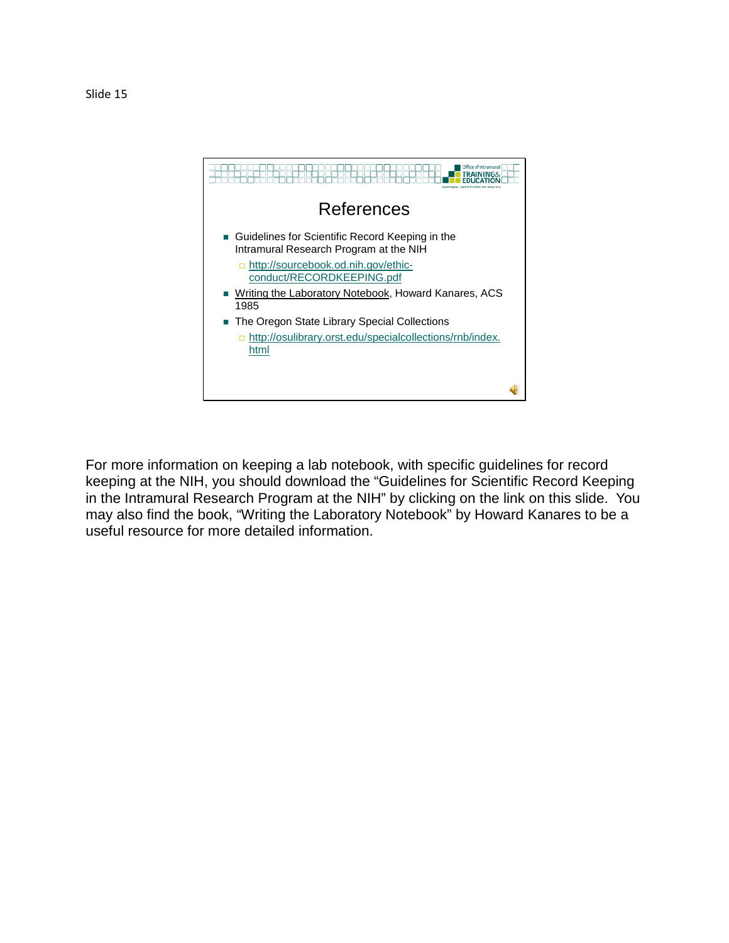

For more information on keeping a lab notebook, with specific guidelines for record keeping at the NIH, you should download the "Guidelines for Scientific Record Keeping in the Intramural Research Program at the NIH" by clicking on the link on this slide. You may also find the book, "Writing the Laboratory Notebook" by Howard Kanares to be a useful resource for more detailed information.